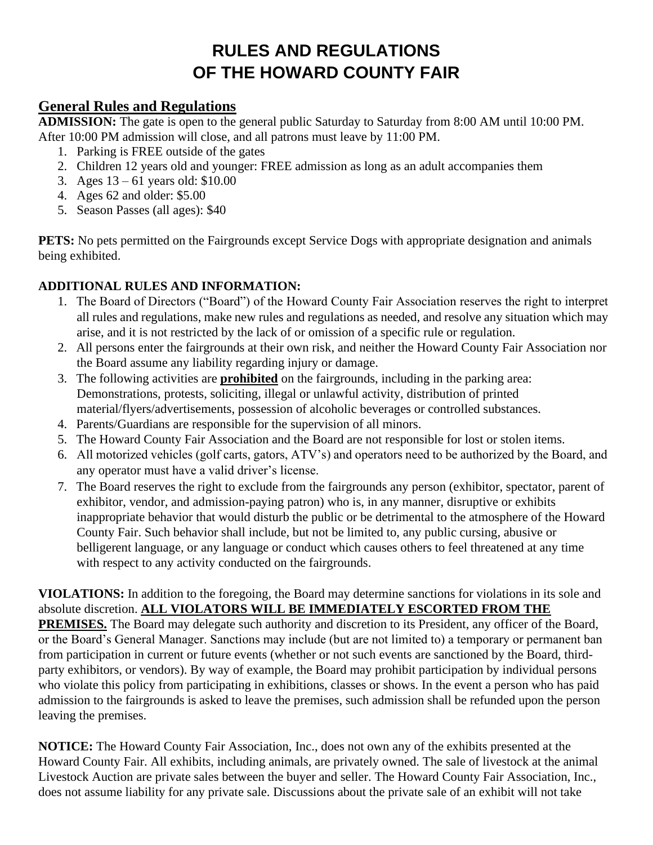# **RULES AND REGULATIONS OF THE HOWARD COUNTY FAIR**

## **General Rules and Regulations**

**ADMISSION:** The gate is open to the general public Saturday to Saturday from 8:00 AM until 10:00 PM. After 10:00 PM admission will close, and all patrons must leave by 11:00 PM.

- 1. Parking is FREE outside of the gates
- 2. Children 12 years old and younger: FREE admission as long as an adult accompanies them
- 3. Ages 13 61 years old: \$10.00
- 4. Ages 62 and older: \$5.00
- 5. Season Passes (all ages): \$40

**PETS:** No pets permitted on the Fairgrounds except Service Dogs with appropriate designation and animals being exhibited.

#### **ADDITIONAL RULES AND INFORMATION:**

- 1. The Board of Directors ("Board") of the Howard County Fair Association reserves the right to interpret all rules and regulations, make new rules and regulations as needed, and resolve any situation which may arise, and it is not restricted by the lack of or omission of a specific rule or regulation.
- 2. All persons enter the fairgrounds at their own risk, and neither the Howard County Fair Association nor the Board assume any liability regarding injury or damage.
- 3. The following activities are **prohibited** on the fairgrounds, including in the parking area: Demonstrations, protests, soliciting, illegal or unlawful activity, distribution of printed material/flyers/advertisements, possession of alcoholic beverages or controlled substances.
- 4. Parents/Guardians are responsible for the supervision of all minors.
- 5. The Howard County Fair Association and the Board are not responsible for lost or stolen items.
- 6. All motorized vehicles (golf carts, gators, ATV's) and operators need to be authorized by the Board, and any operator must have a valid driver's license.
- 7. The Board reserves the right to exclude from the fairgrounds any person (exhibitor, spectator, parent of exhibitor, vendor, and admission-paying patron) who is, in any manner, disruptive or exhibits inappropriate behavior that would disturb the public or be detrimental to the atmosphere of the Howard County Fair. Such behavior shall include, but not be limited to, any public cursing, abusive or belligerent language, or any language or conduct which causes others to feel threatened at any time with respect to any activity conducted on the fairgrounds.

**VIOLATIONS:** In addition to the foregoing, the Board may determine sanctions for violations in its sole and absolute discretion. **ALL VIOLATORS WILL BE IMMEDIATELY ESCORTED FROM THE** 

**PREMISES.** The Board may delegate such authority and discretion to its President, any officer of the Board, or the Board's General Manager. Sanctions may include (but are not limited to) a temporary or permanent ban from participation in current or future events (whether or not such events are sanctioned by the Board, thirdparty exhibitors, or vendors). By way of example, the Board may prohibit participation by individual persons who violate this policy from participating in exhibitions, classes or shows. In the event a person who has paid admission to the fairgrounds is asked to leave the premises, such admission shall be refunded upon the person leaving the premises.

**NOTICE:** The Howard County Fair Association, Inc., does not own any of the exhibits presented at the Howard County Fair. All exhibits, including animals, are privately owned. The sale of livestock at the animal Livestock Auction are private sales between the buyer and seller. The Howard County Fair Association, Inc., does not assume liability for any private sale. Discussions about the private sale of an exhibit will not take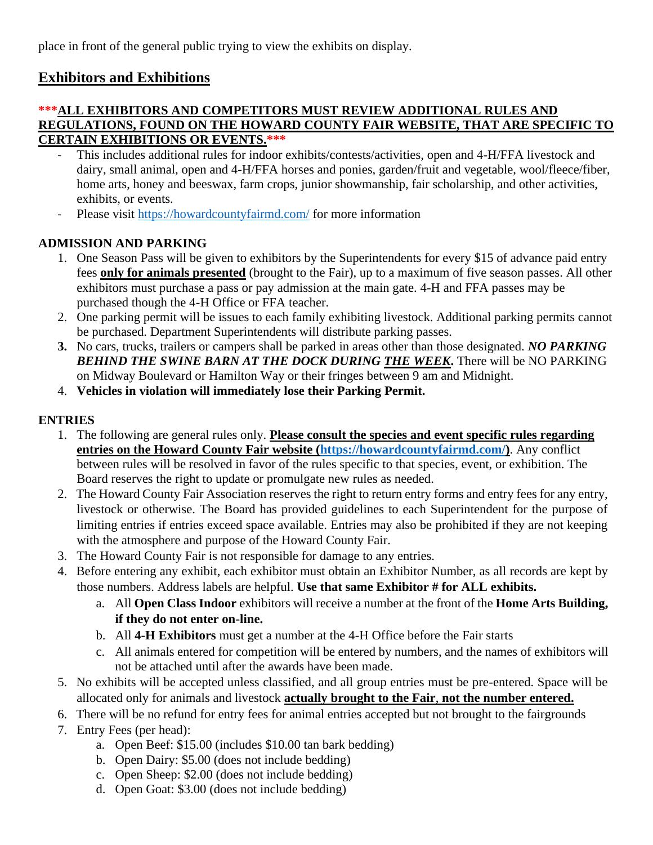place in front of the general public trying to view the exhibits on display.

# **Exhibitors and Exhibitions**

#### **\*\*\*ALL EXHIBITORS AND COMPETITORS MUST REVIEW ADDITIONAL RULES AND REGULATIONS, FOUND ON THE HOWARD COUNTY FAIR WEBSITE, THAT ARE SPECIFIC TO CERTAIN EXHIBITIONS OR EVENTS.\*\*\***

- This includes additional rules for indoor exhibits/contests/activities, open and 4-H/FFA livestock and dairy, small animal, open and 4-H/FFA horses and ponies, garden/fruit and vegetable, wool/fleece/fiber, home arts, honey and beeswax, farm crops, junior showmanship, fair scholarship, and other activities, exhibits, or events.
- Please visit<https://howardcountyfairmd.com/> for more information

### **ADMISSION AND PARKING**

- 1. One Season Pass will be given to exhibitors by the Superintendents for every \$15 of advance paid entry fees **only for animals presented** (brought to the Fair), up to a maximum of five season passes. All other exhibitors must purchase a pass or pay admission at the main gate. 4-H and FFA passes may be purchased though the 4-H Office or FFA teacher.
- 2. One parking permit will be issues to each family exhibiting livestock. Additional parking permits cannot be purchased. Department Superintendents will distribute parking passes.
- **3.** No cars, trucks, trailers or campers shall be parked in areas other than those designated. *NO PARKING BEHIND THE SWINE BARN AT THE DOCK DURING THE WEEK***.** There will be NO PARKING on Midway Boulevard or Hamilton Way or their fringes between 9 am and Midnight.
- 4. **Vehicles in violation will immediately lose their Parking Permit.**

#### **ENTRIES**

- 1. The following are general rules only. **Please consult the species and event specific rules regarding entries on the Howard County Fair website [\(https://howardcountyfairmd.com/\)](https://howardcountyfairmd.com/)**. Any conflict between rules will be resolved in favor of the rules specific to that species, event, or exhibition. The Board reserves the right to update or promulgate new rules as needed.
- 2. The Howard County Fair Association reserves the right to return entry forms and entry fees for any entry, livestock or otherwise. The Board has provided guidelines to each Superintendent for the purpose of limiting entries if entries exceed space available. Entries may also be prohibited if they are not keeping with the atmosphere and purpose of the Howard County Fair.
- 3. The Howard County Fair is not responsible for damage to any entries.
- 4. Before entering any exhibit, each exhibitor must obtain an Exhibitor Number, as all records are kept by those numbers. Address labels are helpful. **Use that same Exhibitor # for ALL exhibits.**
	- a. All **Open Class Indoor** exhibitors will receive a number at the front of the **Home Arts Building, if they do not enter on-line.**
	- b. All **4-H Exhibitors** must get a number at the 4-H Office before the Fair starts
	- c. All animals entered for competition will be entered by numbers, and the names of exhibitors will not be attached until after the awards have been made.
- 5. No exhibits will be accepted unless classified, and all group entries must be pre-entered. Space will be allocated only for animals and livestock **actually brought to the Fair**, **not the number entered.**
- 6. There will be no refund for entry fees for animal entries accepted but not brought to the fairgrounds
- 7. Entry Fees (per head):
	- a. Open Beef: \$15.00 (includes \$10.00 tan bark bedding)
	- b. Open Dairy: \$5.00 (does not include bedding)
	- c. Open Sheep: \$2.00 (does not include bedding)
	- d. Open Goat: \$3.00 (does not include bedding)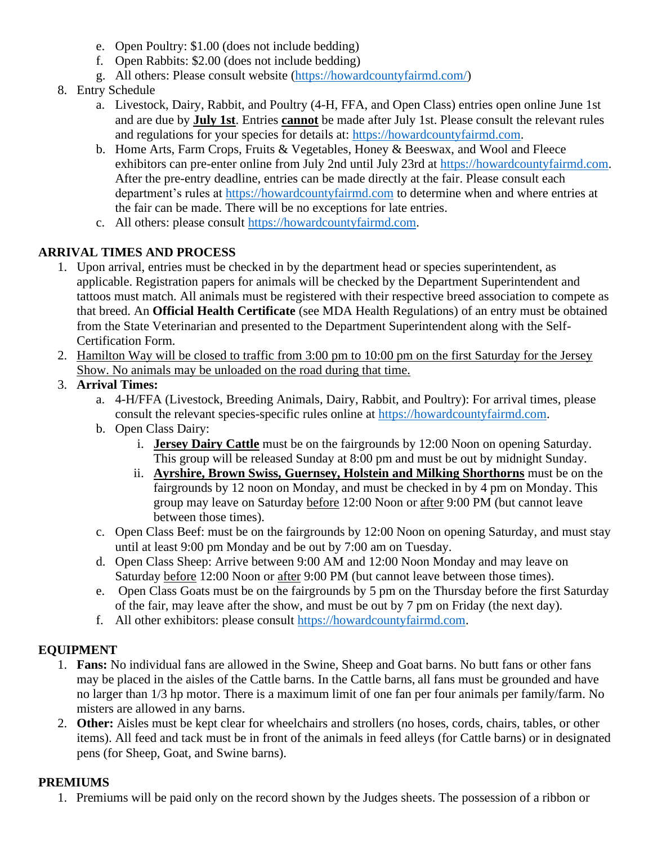- e. Open Poultry: \$1.00 (does not include bedding)
- f. Open Rabbits: \$2.00 (does not include bedding)
- g. All others: Please consult website [\(https://howardcountyfairmd.com/\)](https://howardcountyfairmd.com/)
- 8. Entry Schedule
	- a. Livestock, Dairy, Rabbit, and Poultry (4-H, FFA, and Open Class) entries open online June 1st and are due by **July 1st**. Entries **cannot** be made after July 1st. Please consult the relevant rules and regulations for your species for details at: [https://howardcountyfairmd.com.](https://howardcountyfairmd.com/)
	- b. Home Arts, Farm Crops, Fruits & Vegetables, Honey & Beeswax, and Wool and Fleece exhibitors can pre-enter online from July 2nd until July 23rd at [https://howardcountyfairmd.com.](https://howardcountyfairmd.com/) After the pre-entry deadline, entries can be made directly at the fair. Please consult each department's rules at [https://howardcountyfairmd.com](https://howardcountyfairmd.com/) to determine when and where entries at the fair can be made. There will be no exceptions for late entries.
	- c. All others: please consult [https://howardcountyfairmd.com.](https://howardcountyfairmd.com/)

#### **ARRIVAL TIMES AND PROCESS**

- 1. Upon arrival, entries must be checked in by the department head or species superintendent, as applicable. Registration papers for animals will be checked by the Department Superintendent and tattoos must match. All animals must be registered with their respective breed association to compete as that breed. An **Official Health Certificate** (see MDA Health Regulations) of an entry must be obtained from the State Veterinarian and presented to the Department Superintendent along with the Self-Certification Form.
- 2. Hamilton Way will be closed to traffic from 3:00 pm to 10:00 pm on the first Saturday for the Jersey Show. No animals may be unloaded on the road during that time.
- 3. **Arrival Times:**
	- a. 4-H/FFA (Livestock, Breeding Animals, Dairy, Rabbit, and Poultry): For arrival times, please consult the relevant species-specific rules online at [https://howardcountyfairmd.com.](https://howardcountyfairmd.com/)
	- b. Open Class Dairy:
		- i. **Jersey Dairy Cattle** must be on the fairgrounds by 12:00 Noon on opening Saturday. This group will be released Sunday at 8:00 pm and must be out by midnight Sunday.
		- ii. **Ayrshire, Brown Swiss, Guernsey, Holstein and Milking Shorthorns** must be on the fairgrounds by 12 noon on Monday, and must be checked in by 4 pm on Monday. This group may leave on Saturday before 12:00 Noon or after 9:00 PM (but cannot leave between those times).
	- c. Open Class Beef: must be on the fairgrounds by 12:00 Noon on opening Saturday, and must stay until at least 9:00 pm Monday and be out by 7:00 am on Tuesday.
	- d. Open Class Sheep: Arrive between 9:00 AM and 12:00 Noon Monday and may leave on Saturday before 12:00 Noon or after 9:00 PM (but cannot leave between those times).
	- e. Open Class Goats must be on the fairgrounds by 5 pm on the Thursday before the first Saturday of the fair, may leave after the show, and must be out by 7 pm on Friday (the next day).
	- f. All other exhibitors: please consult [https://howardcountyfairmd.com.](https://howardcountyfairmd.com/)

#### **EQUIPMENT**

- 1. **Fans:** No individual fans are allowed in the Swine, Sheep and Goat barns. No butt fans or other fans may be placed in the aisles of the Cattle barns. In the Cattle barns, all fans must be grounded and have no larger than 1/3 hp motor. There is a maximum limit of one fan per four animals per family/farm. No misters are allowed in any barns.
- 2. **Other:** Aisles must be kept clear for wheelchairs and strollers (no hoses, cords, chairs, tables, or other items). All feed and tack must be in front of the animals in feed alleys (for Cattle barns) or in designated pens (for Sheep, Goat, and Swine barns).

#### **PREMIUMS**

1. Premiums will be paid only on the record shown by the Judges sheets. The possession of a ribbon or